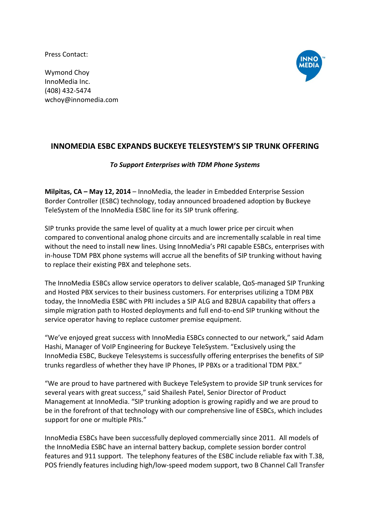Press Contact:

Wymond Choy InnoMedia Inc. (408) 432-5474 wchoy@innomedia.com



## **INNOMEDIA ESBC EXPANDS BUCKEYE TELESYSTEM'S SIP TRUNK OFFERING**

## *To Support Enterprises with TDM Phone Systems*

**Milpitas, CA – May 12, 2014** – InnoMedia, the leader in Embedded Enterprise Session Border Controller (ESBC) technology, today announced broadened adoption by Buckeye TeleSystem of the InnoMedia ESBC line for its SIP trunk offering.

SIP trunks provide the same level of quality at a much lower price per circuit when compared to conventional analog phone circuits and are incrementally scalable in real time without the need to install new lines. Using InnoMedia's PRI capable ESBCs, enterprises with in-house TDM PBX phone systems will accrue all the benefits of SIP trunking without having to replace their existing PBX and telephone sets.

The InnoMedia ESBCs allow service operators to deliver scalable, QoS-managed SIP Trunking and Hosted PBX services to their business customers. For enterprises utilizing a TDM PBX today, the InnoMedia ESBC with PRI includes a SIP ALG and B2BUA capability that offers a simple migration path to Hosted deployments and full end-to-end SIP trunking without the service operator having to replace customer premise equipment.

"We've enjoyed great success with InnoMedia ESBCs connected to our network," said Adam Hashi, Manager of VoIP Engineering for Buckeye TeleSystem. "Exclusively using the InnoMedia ESBC, Buckeye Telesystems is successfully offering enterprises the benefits of SIP trunks regardless of whether they have IP Phones, IP PBXs or a traditional TDM PBX."

"We are proud to have partnered with Buckeye TeleSystem to provide SIP trunk services for several years with great success," said Shailesh Patel, Senior Director of Product Management at InnoMedia. "SIP trunking adoption is growing rapidly and we are proud to be in the forefront of that technology with our comprehensive line of ESBCs, which includes support for one or multiple PRIs."

InnoMedia ESBCs have been successfully deployed commercially since 2011. All models of the InnoMedia ESBC have an internal battery backup, complete session border control features and 911 support. The telephony features of the ESBC include reliable fax with T.38, POS friendly features including high/low-speed modem support, two B Channel Call Transfer